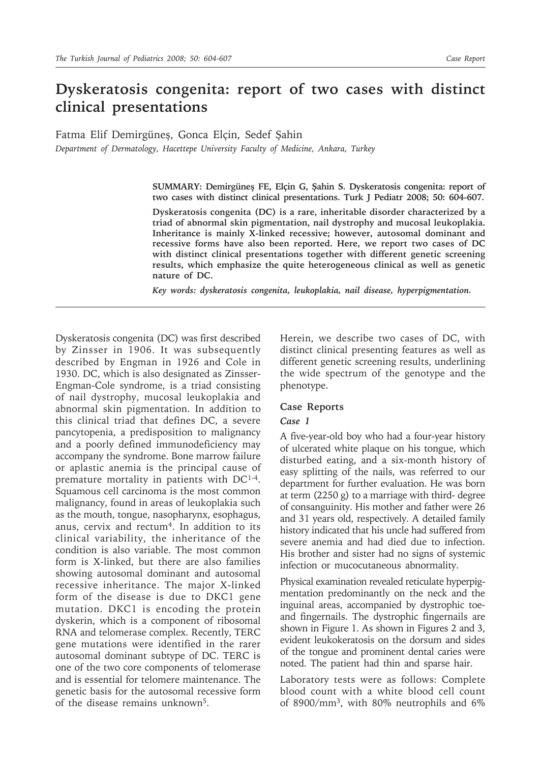# **Dyskeratosis congenita: report of two cases with distinct clinical presentations**

Fatma Elif Demirgüneş, Gonca Elçin, Sedef Şahin

*Department of Dermatology, Hacettepe University Faculty of Medicine, Ankara, Turkey*

**SUMMARY: Demirgüneş FE, Elçin G, Şahin S. Dyskeratosis congenita: report of two cases with distinct clinical presentations. Turk J Pediatr 2008; 50: 604-607.**

**Dyskeratosis congenita (DC) is a rare, inheritable disorder characterized by a triad of abnormal skin pigmentation, nail dystrophy and mucosal leukoplakia. Inheritance is mainly X-linked recessive; however, autosomal dominant and recessive forms have also been reported. Here, we report two cases of DC with distinct clinical presentations together with different genetic screening results, which emphasize the quite heterogeneous clinical as well as genetic nature of DC.**

*Key words: dyskeratosis congenita, leukoplakia, nail disease, hyperpigmentation.*

Dyskeratosis congenita (DC) was first described by Zinsser in 1906. It was subsequently described by Engman in 1926 and Cole in 1930. DC, which is also designated as Zinsser-Engman-Cole syndrome, is a triad consisting of nail dystrophy, mucosal leukoplakia and abnormal skin pigmentation. In addition to this clinical triad that defines DC, a severe pancytopenia, a predisposition to malignancy and a poorly defined immunodeficiency may accompany the syndrome. Bone marrow failure or aplastic anemia is the principal cause of premature mortality in patients with DC1-4. Squamous cell carcinoma is the most common malignancy, found in areas of leukoplakia such as the mouth, tongue, nasopharynx, esophagus, anus, cervix and rectum<sup>4</sup>. In addition to its clinical variability, the inheritance of the condition is also variable. The most common form is X-linked, but there are also families showing autosomal dominant and autosomal recessive inheritance. The major X-linked form of the disease is due to DKC1 gene mutation. DKC1 is encoding the protein dyskerin, which is a component of ribosomal RNA and telomerase complex. Recently, TERC gene mutations were identified in the rarer autosomal dominant subtype of DC. TERC is one of the two core components of telomerase and is essential for telomere maintenance. The genetic basis for the autosomal recessive form of the disease remains unknown5.

Herein, we describe two cases of DC, with distinct clinical presenting features as well as different genetic screening results, underlining the wide spectrum of the genotype and the phenotype.

#### **Case Reports**

#### *Case 1*

A five-year-old boy who had a four-year history of ulcerated white plaque on his tongue, which disturbed eating, and a six-month history of easy splitting of the nails, was referred to our department for further evaluation. He was born at term (2250 g) to a marriage with third- degree of consanguinity. His mother and father were 26 and 31 years old, respectively. A detailed family history indicated that his uncle had suffered from severe anemia and had died due to infection. His brother and sister had no signs of systemic infection or mucocutaneous abnormality.

Physical examination revealed reticulate hyperpigmentation predominantly on the neck and the inguinal areas, accompanied by dystrophic toeand fingernails. The dystrophic fingernails are shown in Figure 1. As shown in Figures 2 and 3, evident leukokeratosis on the dorsum and sides of the tongue and prominent dental caries were noted. The patient had thin and sparse hair.

Laboratory tests were as follows: Complete blood count with a white blood cell count of 8900/mm3, with 80% neutrophils and 6%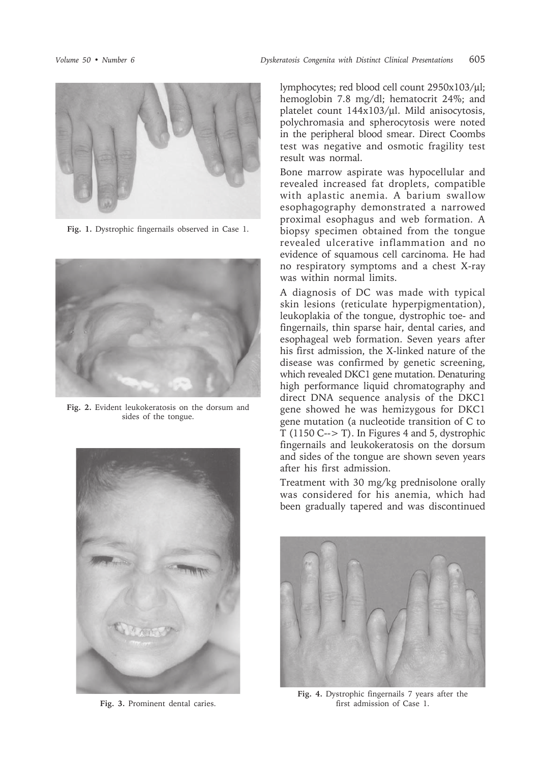

**Fig. 1.** Dystrophic fingernails observed in Case 1.



**Fig. 2.** Evident leukokeratosis on the dorsum and sides of the tongue.



**Fig. 3.** Prominent dental caries.

lymphocytes; red blood cell count 2950x103/µl; hemoglobin 7.8 mg/dl; hematocrit 24%; and platelet count 144x103/µl. Mild anisocytosis, polychromasia and spherocytosis were noted in the peripheral blood smear. Direct Coombs test was negative and osmotic fragility test result was normal.

Bone marrow aspirate was hypocellular and revealed increased fat droplets, compatible with aplastic anemia. A barium swallow esophagography demonstrated a narrowed proximal esophagus and web formation. A biopsy specimen obtained from the tongue revealed ulcerative inflammation and no evidence of squamous cell carcinoma. He had no respiratory symptoms and a chest X-ray was within normal limits.

A diagnosis of DC was made with typical skin lesions (reticulate hyperpigmentation), leukoplakia of the tongue, dystrophic toe- and fingernails, thin sparse hair, dental caries, and esophageal web formation. Seven years after his first admission, the X-linked nature of the disease was confirmed by genetic screening, which revealed DKC1 gene mutation. Denaturing high performance liquid chromatography and direct DNA sequence analysis of the DKC1 gene showed he was hemizygous for DKC1 gene mutation (a nucleotide transition of C to  $T(1150 C\rightarrow T)$ . In Figures 4 and 5, dystrophic fingernails and leukokeratosis on the dorsum and sides of the tongue are shown seven years after his first admission.

Treatment with 30 mg/kg prednisolone orally was considered for his anemia, which had been gradually tapered and was discontinued



**Fig. 4.** Dystrophic fingernails 7 years after the first admission of Case 1.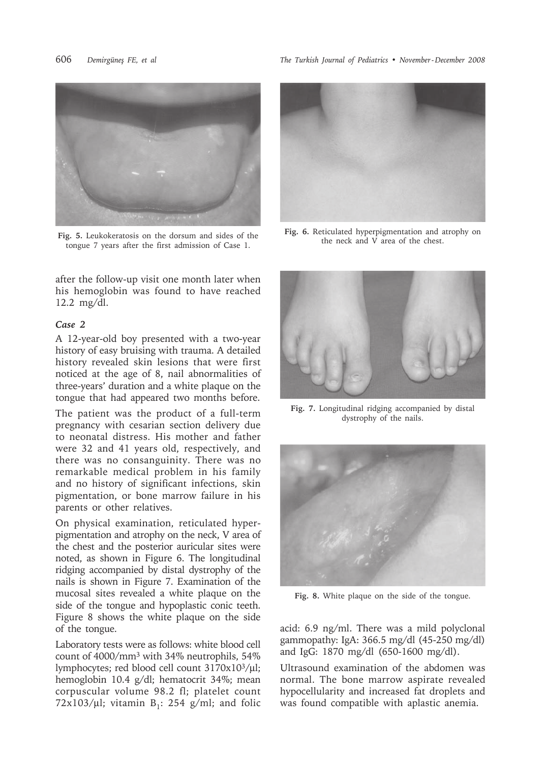

**Fig. 5.** Leukokeratosis on the dorsum and sides of the tongue 7 years after the first admission of Case 1.

after the follow-up visit one month later when his hemoglobin was found to have reached 12.2 mg/dl.

### *Case 2*

A 12-year-old boy presented with a two-year history of easy bruising with trauma. A detailed history revealed skin lesions that were first noticed at the age of 8, nail abnormalities of three-years' duration and a white plaque on the tongue that had appeared two months before.

The patient was the product of a full-term pregnancy with cesarian section delivery due to neonatal distress. His mother and father were 32 and 41 years old, respectively, and there was no consanguinity. There was no remarkable medical problem in his family and no history of significant infections, skin pigmentation, or bone marrow failure in his parents or other relatives.

On physical examination, reticulated hyperpigmentation and atrophy on the neck, V area of the chest and the posterior auricular sites were noted, as shown in Figure 6. The longitudinal ridging accompanied by distal dystrophy of the nails is shown in Figure 7. Examination of the mucosal sites revealed a white plaque on the side of the tongue and hypoplastic conic teeth. Figure 8 shows the white plaque on the side of the tongue.

Laboratory tests were as follows: white blood cell count of 4000/mm3 with 34% neutrophils, 54% lymphocytes; red blood cell count 3170x103/µl; hemoglobin 10.4 g/dl; hematocrit 34%; mean corpuscular volume 98.2 fl; platelet count 72x103/µl; vitamin  $B_1$ : 254 g/ml; and folic

606 *Demirgüneş FE, et al The Turkish Journal of Pediatrics • November - December 2008*



**Fig. 6.** Reticulated hyperpigmentation and atrophy on the neck and V area of the chest.



**Fig. 7.** Longitudinal ridging accompanied by distal dystrophy of the nails.



**Fig. 8.** White plaque on the side of the tongue.

acid: 6.9 ng/ml. There was a mild polyclonal gammopathy: IgA: 366.5 mg/dl (45-250 mg/dl) and IgG: 1870 mg/dl (650-1600 mg/dl).

Ultrasound examination of the abdomen was normal. The bone marrow aspirate revealed hypocellularity and increased fat droplets and was found compatible with aplastic anemia.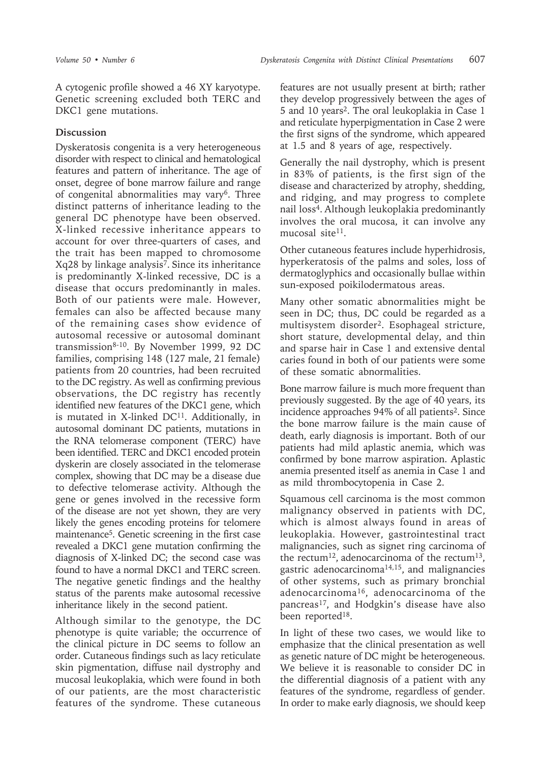A cytogenic profile showed a 46 XY karyotype. Genetic screening excluded both TERC and DKC1 gene mutations.

## **Discussion**

Dyskeratosis congenita is a very heterogeneous disorder with respect to clinical and hematological features and pattern of inheritance. The age of onset, degree of bone marrow failure and range of congenital abnormalities may vary6. Three distinct patterns of inheritance leading to the general DC phenotype have been observed. X-linked recessive inheritance appears to account for over three-quarters of cases, and the trait has been mapped to chromosome Xq28 by linkage analysis7. Since its inheritance is predominantly X-linked recessive, DC is a disease that occurs predominantly in males. Both of our patients were male. However, females can also be affected because many of the remaining cases show evidence of autosomal recessive or autosomal dominant transmission8-10. By November 1999, 92 DC families, comprising 148 (127 male, 21 female) patients from 20 countries, had been recruited to the DC registry. As well as confirming previous observations, the DC registry has recently identified new features of the DKC1 gene, which is mutated in X-linked  $DC<sup>11</sup>$ . Additionally, in autosomal dominant DC patients, mutations in the RNA telomerase component (TERC) have been identified. TERC and DKC1 encoded protein dyskerin are closely associated in the telomerase complex, showing that DC may be a disease due to defective telomerase activity. Although the gene or genes involved in the recessive form of the disease are not yet shown, they are very likely the genes encoding proteins for telomere maintenance5. Genetic screening in the first case revealed a DKC1 gene mutation confirming the diagnosis of X-linked DC; the second case was found to have a normal DKC1 and TERC screen. The negative genetic findings and the healthy status of the parents make autosomal recessive inheritance likely in the second patient.

Although similar to the genotype, the DC phenotype is quite variable; the occurrence of the clinical picture in DC seems to follow an order. Cutaneous findings such as lacy reticulate skin pigmentation, diffuse nail dystrophy and mucosal leukoplakia, which were found in both of our patients, are the most characteristic features of the syndrome. These cutaneous

features are not usually present at birth; rather they develop progressively between the ages of 5 and 10 years2. The oral leukoplakia in Case 1 and reticulate hyperpigmentation in Case 2 were the first signs of the syndrome, which appeared at 1.5 and 8 years of age, respectively.

Generally the nail dystrophy, which is present in 83% of patients, is the first sign of the disease and characterized by atrophy, shedding, and ridging, and may progress to complete nail loss<sup>4</sup>. Although leukoplakia predominantly involves the oral mucosa, it can involve any mucosal site<sup>11</sup>.

Other cutaneous features include hyperhidrosis, hyperkeratosis of the palms and soles, loss of dermatoglyphics and occasionally bullae within sun-exposed poikilodermatous areas.

Many other somatic abnormalities might be seen in DC; thus, DC could be regarded as a multisystem disorder2. Esophageal stricture, short stature, developmental delay, and thin and sparse hair in Case 1 and extensive dental caries found in both of our patients were some of these somatic abnormalities.

Bone marrow failure is much more frequent than previously suggested. By the age of 40 years, its incidence approaches 94% of all patients<sup>2</sup>. Since the bone marrow failure is the main cause of death, early diagnosis is important. Both of our patients had mild aplastic anemia, which was confirmed by bone marrow aspiration. Aplastic anemia presented itself as anemia in Case 1 and as mild thrombocytopenia in Case 2.

Squamous cell carcinoma is the most common malignancy observed in patients with DC, which is almost always found in areas of leukoplakia. However, gastrointestinal tract malignancies, such as signet ring carcinoma of the rectum<sup>12</sup>, adenocarcinoma of the rectum<sup>13</sup>, gastric adenocarcinoma14,15, and malignancies of other systems, such as primary bronchial adenocarcinoma16, adenocarcinoma of the pancreas<sup>17</sup>, and Hodgkin's disease have also been reported<sup>18</sup>.

In light of these two cases, we would like to emphasize that the clinical presentation as well as genetic nature of DC might be heterogeneous. We believe it is reasonable to consider DC in the differential diagnosis of a patient with any features of the syndrome, regardless of gender. In order to make early diagnosis, we should keep